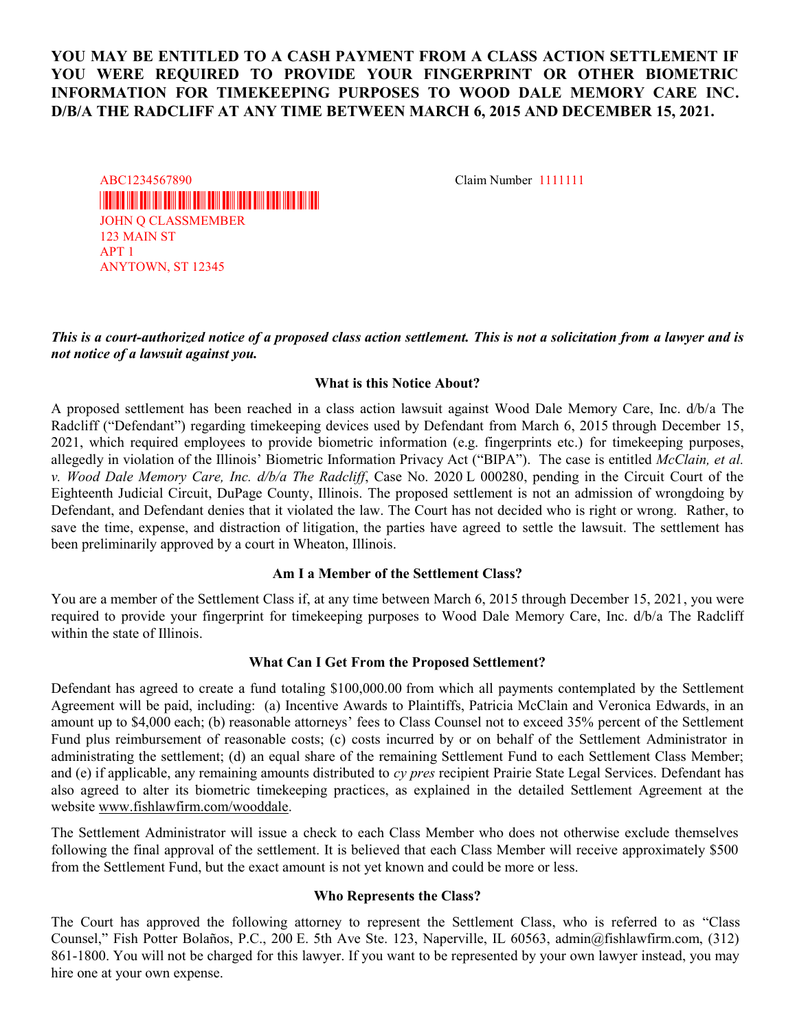# YOU MAY BE ENTITLED TO A CASH PAYMENT FROM A CLASS ACTION SETTLEMENT IF YOU WERE REQUIRED TO PROVIDE YOUR FINGERPRINT OR OTHER BIOMETRIC INFORMATION FOR TIMEKEEPING PURPOSES TO WOOD DALE MEMORY CARE INC. D/B/A THE RADCLIFF AT ANY TIME BETWEEN MARCH 6, 2015 AND DECEMBER 15, 2021.

\*SLA0000076419\* JOHN Q CLASSMEMBER 123 MAIN ST APT 1 ANYTOWN, ST 12345 ABC1234567890 Claim Number 1111111

## This is a court-authorized notice of a proposed class action settlement. This is not a solicitation from a lawyer and is not notice of a lawsuit against you.

#### What is this Notice About?

A proposed settlement has been reached in a class action lawsuit against Wood Dale Memory Care, Inc. d/b/a The Radcliff ("Defendant") regarding timekeeping devices used by Defendant from March 6, 2015 through December 15, 2021, which required employees to provide biometric information (e.g. fingerprints etc.) for timekeeping purposes, allegedly in violation of the Illinois' Biometric Information Privacy Act ("BIPA"). The case is entitled McClain, et al. v. Wood Dale Memory Care, Inc. d/b/a The Radcliff, Case No. 2020 L 000280, pending in the Circuit Court of the Eighteenth Judicial Circuit, DuPage County, Illinois. The proposed settlement is not an admission of wrongdoing by Defendant, and Defendant denies that it violated the law. The Court has not decided who is right or wrong. Rather, to save the time, expense, and distraction of litigation, the parties have agreed to settle the lawsuit. The settlement has been preliminarily approved by a court in Wheaton, Illinois.

## Am I a Member of the Settlement Class?

You are a member of the Settlement Class if, at any time between March 6, 2015 through December 15, 2021, you were required to provide your fingerprint for timekeeping purposes to Wood Dale Memory Care, Inc. d/b/a The Radcliff within the state of Illinois.

#### What Can I Get From the Proposed Settlement?

Defendant has agreed to create a fund totaling \$100,000.00 from which all payments contemplated by the Settlement Agreement will be paid, including: (a) Incentive Awards to Plaintiffs, Patricia McClain and Veronica Edwards, in an amount up to \$4,000 each; (b) reasonable attorneys' fees to Class Counsel not to exceed 35% percent of the Settlement Fund plus reimbursement of reasonable costs; (c) costs incurred by or on behalf of the Settlement Administrator in administrating the settlement; (d) an equal share of the remaining Settlement Fund to each Settlement Class Member; and (e) if applicable, any remaining amounts distributed to  $cy$  pres recipient Prairie State Legal Services. Defendant has also agreed to alter its biometric timekeeping practices, as explained in the detailed Settlement Agreement at the website www.fishlawfirm.com/wooddale.

The Settlement Administrator will issue a check to each Class Member who does not otherwise exclude themselves following the final approval of the settlement. It is believed that each Class Member will receive approximately \$500 from the Settlement Fund, but the exact amount is not yet known and could be more or less.

#### Who Represents the Class?

The Court has approved the following attorney to represent the Settlement Class, who is referred to as "Class Counsel," Fish Potter Bolaños, P.C., 200 E. 5th Ave Ste. 123, Naperville, IL 60563, admin@fishlawfirm.com, (312) 861-1800. You will not be charged for this lawyer. If you want to be represented by your own lawyer instead, you may hire one at your own expense.